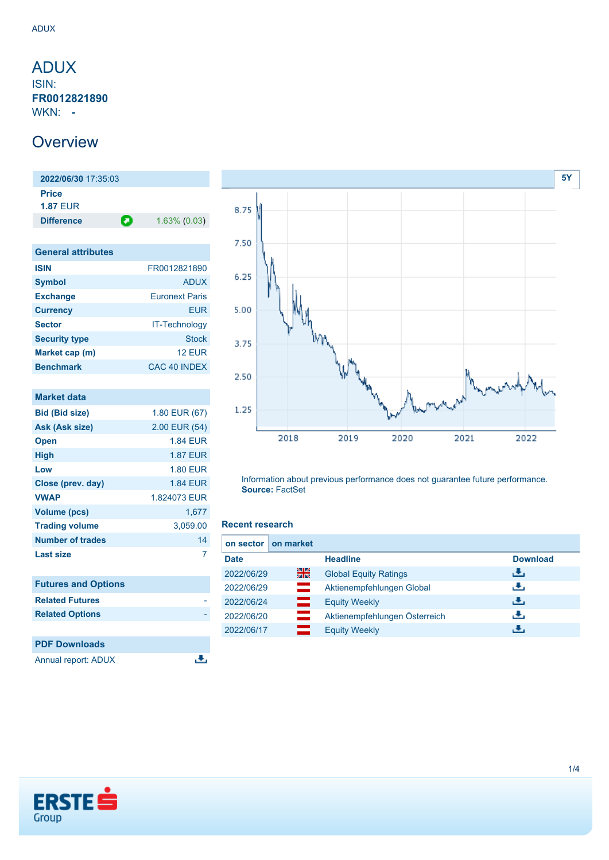# <span id="page-0-0"></span>ADUX

ISIN: **FR0012821890** WKN: **-**

### **Overview**

**2022/06/30** 17:35:03 **Price 1.87** EUR **Difference 1.63% (0.03)** 

| <b>General attributes</b> |                         |
|---------------------------|-------------------------|
| <b>ISIN</b>               | FR0012821890            |
| <b>Symbol</b>             | <b>ADUX</b>             |
| <b>Exchange</b>           | <b>Euronext Paris</b>   |
| <b>Currency</b>           | FUR                     |
| <b>Sector</b>             | <b>IT-Technology</b>    |
| <b>Security type</b>      | <b>Stock</b>            |
| Market cap (m)            | 12 FUR                  |
| <b>Benchmark</b>          | CAC <sub>40</sub> INDEX |

| <b>Market data</b>         |                 |
|----------------------------|-----------------|
| <b>Bid (Bid size)</b>      | 1.80 EUR (67)   |
| Ask (Ask size)             | 2.00 EUR (54)   |
| <b>Open</b>                | <b>1.84 EUR</b> |
| <b>High</b>                | <b>1.87 EUR</b> |
| Low                        | <b>1.80 EUR</b> |
| Close (prev. day)          | <b>1.84 EUR</b> |
| <b>VWAP</b>                | 1.824073 EUR    |
| <b>Volume (pcs)</b>        | 1,677           |
| <b>Trading volume</b>      | 3,059.00        |
| <b>Number of trades</b>    | 14              |
| <b>Last size</b>           | 7               |
| <b>Futures and Options</b> |                 |
| <b>Related Futures</b>     |                 |
| <b>Related Options</b>     |                 |
|                            |                 |
| <b>PDF Downloads</b>       |                 |
| <b>Annual report: ADUX</b> |                 |



Information about previous performance does not guarantee future performance. **Source:** FactSet

#### **Recent research**

| on market<br>on sector I |                               |                 |
|--------------------------|-------------------------------|-----------------|
| <b>Date</b>              | <b>Headline</b>               | <b>Download</b> |
| 을<br>2022/06/29          | <b>Global Equity Ratings</b>  | رالى            |
| 2022/06/29               | Aktienempfehlungen Global     | رنان            |
| ━<br>2022/06/24          | <b>Equity Weekly</b>          | رالى            |
| 2022/06/20               | Aktienempfehlungen Österreich | رنان            |
| 2022/06/17               | <b>Equity Weekly</b>          | æ,              |

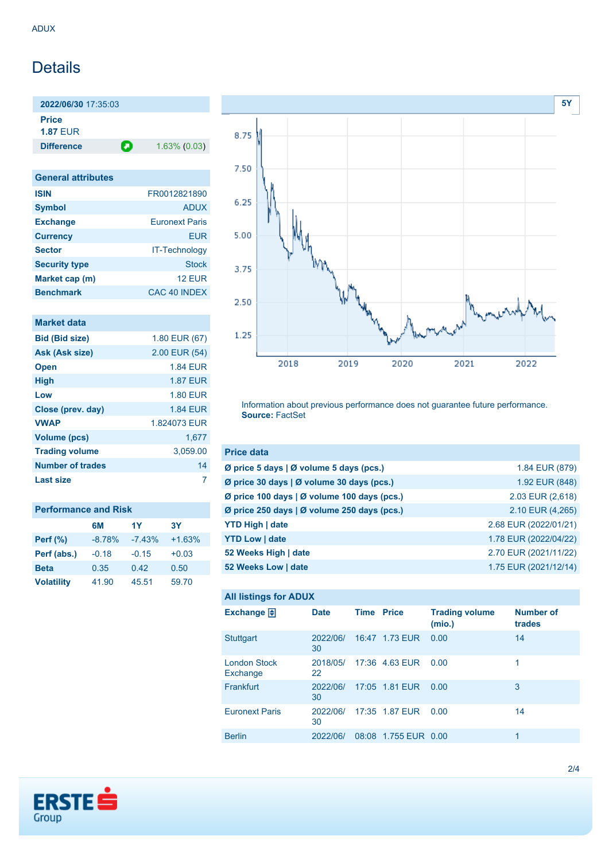### Details

**2022/06/30** 17:35:03 **Price 1.87** EUR

**Difference 1.63% (0.03)** 

**General attributes ISIN** FR0012821890 **Symbol** ADUX **Exchange** Euronext Paris **Currency** EUR **Sector** IT-Technology **Security type** Stock **Market cap (m)** 12 EUR **Benchmark** CAC 40 INDEX

### **Market data**

| 1.80 EUR (67)   |
|-----------------|
| 2.00 EUR (54)   |
| <b>1.84 EUR</b> |
| <b>1.87 EUR</b> |
| <b>1.80 EUR</b> |
| <b>1.84 EUR</b> |
| 1.824073 EUR    |
| 1,677           |
| 3,059.00        |
| 14              |
|                 |
|                 |

| <b>Performance and Risk</b> |          |          |          |
|-----------------------------|----------|----------|----------|
|                             | 6M       | 1Y       | 3Y       |
| Perf $(\%)$                 | $-8.78%$ | $-7.43%$ | $+1.63%$ |
| Perf (abs.)                 | $-0.18$  | $-0.15$  | $+0.03$  |
| <b>Beta</b>                 | 0.35     | 0.42     | 0.50     |
| <b>Volatility</b>           | 41.90    | 45.51    | 59.70    |



Information about previous performance does not guarantee future performance. **Source:** FactSet

| <b>Price data</b>                                         |                       |
|-----------------------------------------------------------|-----------------------|
| $\emptyset$ price 5 days $\emptyset$ volume 5 days (pcs.) | 1.84 EUR (879)        |
| Ø price 30 days   Ø volume 30 days (pcs.)                 | 1.92 EUR (848)        |
| Ø price 100 days   Ø volume 100 days (pcs.)               | 2.03 EUR (2,618)      |
| Ø price 250 days   Ø volume 250 days (pcs.)               | 2.10 EUR (4,265)      |
| <b>YTD High   date</b>                                    | 2.68 EUR (2022/01/21) |
| <b>YTD Low   date</b>                                     | 1.78 EUR (2022/04/22) |
| 52 Weeks High   date                                      | 2.70 EUR (2021/11/22) |
| 52 Weeks Low   date                                       | 1.75 EUR (2021/12/14) |

# **All listings for ADUX**

| Exchange 日                      | <b>Date</b>    | <b>Time Price</b> |                      | <b>Trading volume</b><br>(mio.) | <b>Number of</b><br>trades |
|---------------------------------|----------------|-------------------|----------------------|---------------------------------|----------------------------|
| <b>Stuttgart</b>                | 2022/06/<br>30 |                   | 16:47 1.73 EUR       | 0.00                            | 14                         |
| <b>London Stock</b><br>Exchange | 2018/05/<br>22 |                   | 17:36 4.63 EUR       | 0.00                            | 1                          |
| Frankfurt                       | 2022/06/<br>30 |                   | 17:05 1.81 EUR       | 0.00                            | 3                          |
| <b>Euronext Paris</b>           | 2022/06/<br>30 |                   | 17:35 1.87 EUR       | 0.00                            | 14                         |
| <b>Berlin</b>                   | 2022/06/       |                   | 08:08 1.755 EUR 0.00 |                                 | 1                          |

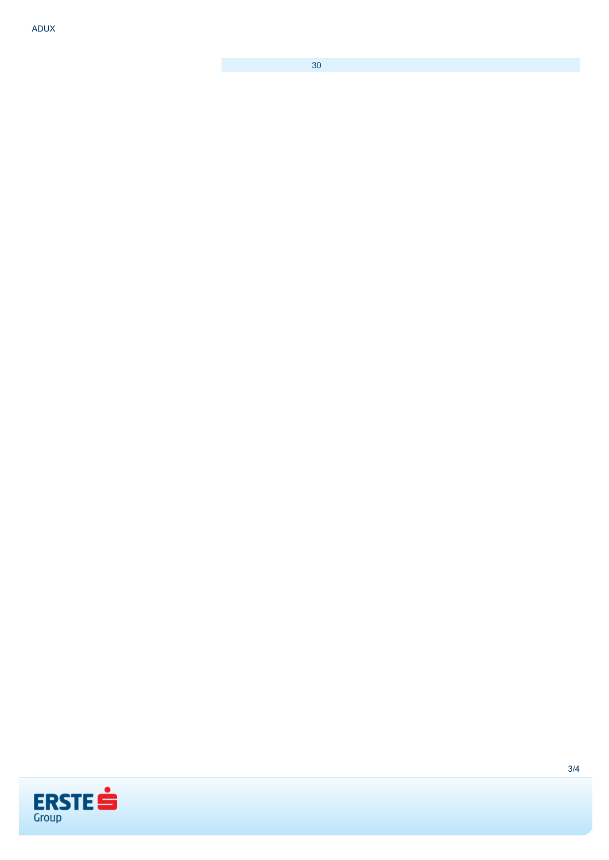